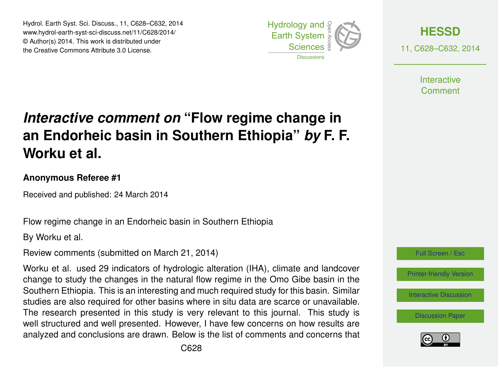Hydrol. Earth Syst. Sci. Discuss., 11, C628–C632, 2014 www.hydrol-earth-syst-sci-discuss.net/11/C628/2014/ © Author(s) 2014. This work is distributed under the Creative Commons Attribute 3.0 License.





11, C628–C632, 2014

**Interactive** Comment

## *Interactive comment on* **"Flow regime change in an Endorheic basin in Southern Ethiopia"** *by* **F. F. Worku et al.**

## **Anonymous Referee #1**

Received and published: 24 March 2014

Flow regime change in an Endorheic basin in Southern Ethiopia

By Worku et al.

Review comments (submitted on March 21, 2014)

Worku et al. used 29 indicators of hydrologic alteration (IHA), climate and landcover change to study the changes in the natural flow regime in the Omo Gibe basin in the Southern Ethiopia. This is an interesting and much required study for this basin. Similar studies are also required for other basins where in situ data are scarce or unavailable. The research presented in this study is very relevant to this journal. This study is well structured and well presented. However, I have few concerns on how results are analyzed and conclusions are drawn. Below is the list of comments and concerns that



[Printer-friendly Version](http://www.hydrol-earth-syst-sci-discuss.net/11/C628/2014/hessd-11-C628-2014-print.pdf)

[Interactive Discussion](http://www.hydrol-earth-syst-sci-discuss.net/11/1301/2014/hessd-11-1301-2014-discussion.html)

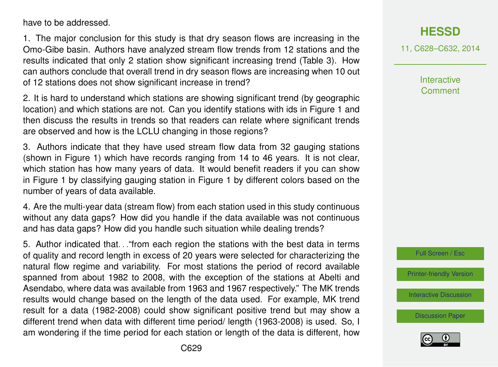have to be addressed.

1. The major conclusion for this study is that dry season flows are increasing in the Omo-Gibe basin. Authors have analyzed stream flow trends from 12 stations and the results indicated that only 2 station show significant increasing trend (Table 3). How can authors conclude that overall trend in dry season flows are increasing when 10 out of 12 stations does not show significant increase in trend?

2. It is hard to understand which stations are showing significant trend (by geographic location) and which stations are not. Can you identify stations with ids in Figure 1 and then discuss the results in trends so that readers can relate where significant trends are observed and how is the LCLU changing in those regions?

3. Authors indicate that they have used stream flow data from 32 gauging stations (shown in Figure 1) which have records ranging from 14 to 46 years. It is not clear, which station has how many years of data. It would benefit readers if you can show in Figure 1 by classifying gauging station in Figure 1 by different colors based on the number of years of data available.

4. Are the multi-year data (stream flow) from each station used in this study continuous without any data gaps? How did you handle if the data available was not continuous and has data gaps? How did you handle such situation while dealing trends?

5. Author indicated that. . ."from each region the stations with the best data in terms of quality and record length in excess of 20 years were selected for characterizing the natural flow regime and variability. For most stations the period of record available spanned from about 1982 to 2008, with the exception of the stations at Abelti and Asendabo, where data was available from 1963 and 1967 respectively." The MK trends results would change based on the length of the data used. For example, MK trend result for a data (1982-2008) could show significant positive trend but may show a different trend when data with different time period/ length (1963-2008) is used. So, I am wondering if the time period for each station or length of the data is different, how 11, C628–C632, 2014

**Interactive Comment** 



[Printer-friendly Version](http://www.hydrol-earth-syst-sci-discuss.net/11/C628/2014/hessd-11-C628-2014-print.pdf)

[Interactive Discussion](http://www.hydrol-earth-syst-sci-discuss.net/11/1301/2014/hessd-11-1301-2014-discussion.html)

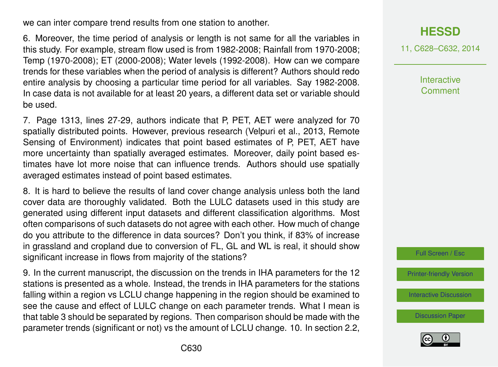we can inter compare trend results from one station to another.

6. Moreover, the time period of analysis or length is not same for all the variables in this study. For example, stream flow used is from 1982-2008; Rainfall from 1970-2008; Temp (1970-2008); ET (2000-2008); Water levels (1992-2008). How can we compare trends for these variables when the period of analysis is different? Authors should redo entire analysis by choosing a particular time period for all variables. Say 1982-2008. In case data is not available for at least 20 years, a different data set or variable should be used.

7. Page 1313, lines 27-29, authors indicate that P, PET, AET were analyzed for 70 spatially distributed points. However, previous research (Velpuri et al., 2013, Remote Sensing of Environment) indicates that point based estimates of P, PET, AET have more uncertainty than spatially averaged estimates. Moreover, daily point based estimates have lot more noise that can influence trends. Authors should use spatially averaged estimates instead of point based estimates.

8. It is hard to believe the results of land cover change analysis unless both the land cover data are thoroughly validated. Both the LULC datasets used in this study are generated using different input datasets and different classification algorithms. Most often comparisons of such datasets do not agree with each other. How much of change do you attribute to the difference in data sources? Don't you think, if 83% of increase in grassland and cropland due to conversion of FL, GL and WL is real, it should show significant increase in flows from majority of the stations?

9. In the current manuscript, the discussion on the trends in IHA parameters for the 12 stations is presented as a whole. Instead, the trends in IHA parameters for the stations falling within a region vs LCLU change happening in the region should be examined to see the cause and effect of LULC change on each parameter trends. What I mean is that table 3 should be separated by regions. Then comparison should be made with the parameter trends (significant or not) vs the amount of LCLU change. 10. In section 2.2, 11, C628–C632, 2014

**Interactive Comment** 



[Printer-friendly Version](http://www.hydrol-earth-syst-sci-discuss.net/11/C628/2014/hessd-11-C628-2014-print.pdf)

[Interactive Discussion](http://www.hydrol-earth-syst-sci-discuss.net/11/1301/2014/hessd-11-1301-2014-discussion.html)

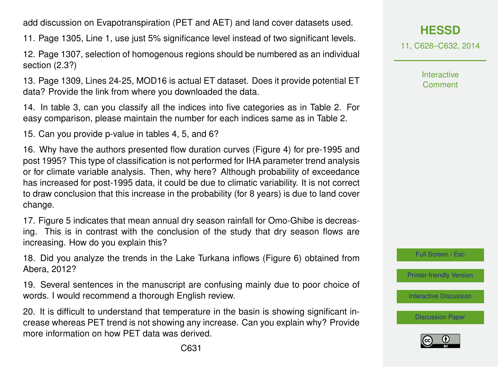add discussion on Evapotranspiration (PET and AET) and land cover datasets used.

11. Page 1305, Line 1, use just 5% significance level instead of two significant levels.

12. Page 1307, selection of homogenous regions should be numbered as an individual section (2.3?)

13. Page 1309, Lines 24-25, MOD16 is actual ET dataset. Does it provide potential ET data? Provide the link from where you downloaded the data.

14. In table 3, can you classify all the indices into five categories as in Table 2. For easy comparison, please maintain the number for each indices same as in Table 2.

15. Can you provide p-value in tables 4, 5, and 6?

16. Why have the authors presented flow duration curves (Figure 4) for pre-1995 and post 1995? This type of classification is not performed for IHA parameter trend analysis or for climate variable analysis. Then, why here? Although probability of exceedance has increased for post-1995 data, it could be due to climatic variability. It is not correct to draw conclusion that this increase in the probability (for 8 years) is due to land cover change.

17. Figure 5 indicates that mean annual dry season rainfall for Omo-Ghibe is decreasing. This is in contrast with the conclusion of the study that dry season flows are increasing. How do you explain this?

18. Did you analyze the trends in the Lake Turkana inflows (Figure 6) obtained from Abera, 2012?

19. Several sentences in the manuscript are confusing mainly due to poor choice of words. I would recommend a thorough English review.

20. It is difficult to understand that temperature in the basin is showing significant increase whereas PET trend is not showing any increase. Can you explain why? Provide more information on how PET data was derived.

**[HESSD](http://www.hydrol-earth-syst-sci-discuss.net)**

11, C628–C632, 2014

Interactive **Comment** 

Full Screen / Esc

[Printer-friendly Version](http://www.hydrol-earth-syst-sci-discuss.net/11/C628/2014/hessd-11-C628-2014-print.pdf)

[Interactive Discussion](http://www.hydrol-earth-syst-sci-discuss.net/11/1301/2014/hessd-11-1301-2014-discussion.html)